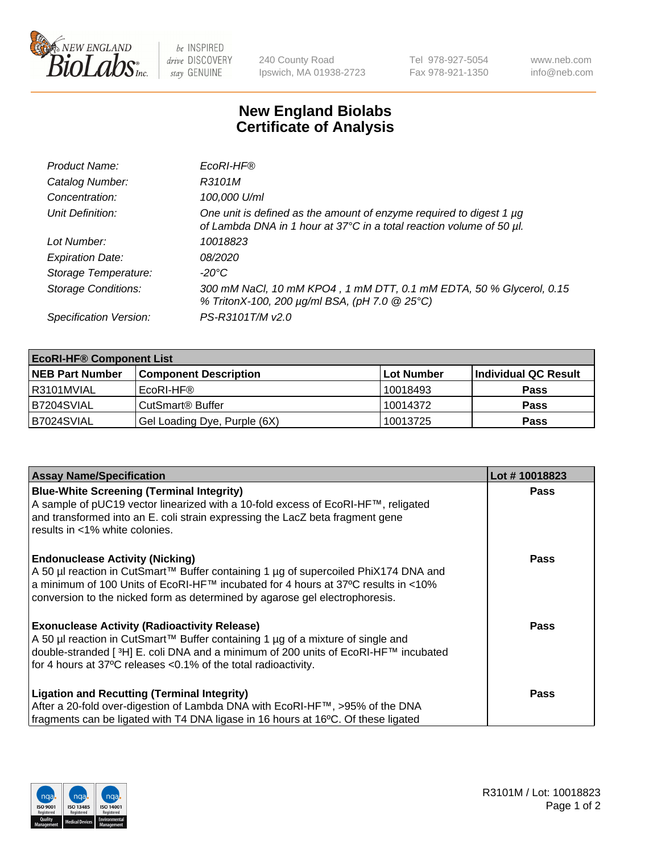

 $be$  INSPIRED drive DISCOVERY stay GENUINE

240 County Road Ipswich, MA 01938-2723 Tel 978-927-5054 Fax 978-921-1350 www.neb.com info@neb.com

## **New England Biolabs Certificate of Analysis**

| Product Name:              | EcoRI-HF®                                                                                                                                   |
|----------------------------|---------------------------------------------------------------------------------------------------------------------------------------------|
| Catalog Number:            | R3101M                                                                                                                                      |
| Concentration:             | 100,000 U/ml                                                                                                                                |
| Unit Definition:           | One unit is defined as the amount of enzyme required to digest 1 µg<br>of Lambda DNA in 1 hour at 37°C in a total reaction volume of 50 µl. |
| Lot Number:                | 10018823                                                                                                                                    |
| <b>Expiration Date:</b>    | 08/2020                                                                                                                                     |
| Storage Temperature:       | -20°C                                                                                                                                       |
| <b>Storage Conditions:</b> | 300 mM NaCl, 10 mM KPO4, 1 mM DTT, 0.1 mM EDTA, 50 % Glycerol, 0.15<br>% TritonX-100, 200 µg/ml BSA, (pH 7.0 @ 25°C)                        |
| Specification Version:     | PS-R3101T/M v2.0                                                                                                                            |

| <b>EcoRI-HF® Component List</b> |                              |            |                      |  |  |
|---------------------------------|------------------------------|------------|----------------------|--|--|
| <b>NEB Part Number</b>          | <b>Component Description</b> | Lot Number | Individual QC Result |  |  |
| I R3101MVIAL                    | EcoRI-HF®                    | 10018493   | <b>Pass</b>          |  |  |
| IB7204SVIAL                     | CutSmart <sup>®</sup> Buffer | 10014372   | <b>Pass</b>          |  |  |
| B7024SVIAL                      | Gel Loading Dye, Purple (6X) | 10013725   | <b>Pass</b>          |  |  |

| <b>Assay Name/Specification</b>                                                                                                                                           | Lot #10018823 |
|---------------------------------------------------------------------------------------------------------------------------------------------------------------------------|---------------|
| <b>Blue-White Screening (Terminal Integrity)</b><br>A sample of pUC19 vector linearized with a 10-fold excess of EcoRI-HF™, religated                                     | <b>Pass</b>   |
| and transformed into an E. coli strain expressing the LacZ beta fragment gene                                                                                             |               |
| results in <1% white colonies.                                                                                                                                            |               |
| <b>Endonuclease Activity (Nicking)</b>                                                                                                                                    | Pass          |
| A 50 µl reaction in CutSmart™ Buffer containing 1 µg of supercoiled PhiX174 DNA and<br> a minimum of 100 Units of EcoRI-HF™ incubated for 4 hours at 37°C results in <10% |               |
| conversion to the nicked form as determined by agarose gel electrophoresis.                                                                                               |               |
| <b>Exonuclease Activity (Radioactivity Release)</b>                                                                                                                       | Pass          |
| A 50 µl reaction in CutSmart™ Buffer containing 1 µg of a mixture of single and                                                                                           |               |
| double-stranded [ <sup>3</sup> H] E. coli DNA and a minimum of 200 units of EcoRI-HF™ incubated                                                                           |               |
| for 4 hours at 37°C releases < 0.1% of the total radioactivity.                                                                                                           |               |
| <b>Ligation and Recutting (Terminal Integrity)</b>                                                                                                                        | <b>Pass</b>   |
| After a 20-fold over-digestion of Lambda DNA with EcoRI-HF™, >95% of the DNA                                                                                              |               |
| fragments can be ligated with T4 DNA ligase in 16 hours at 16°C. Of these ligated                                                                                         |               |